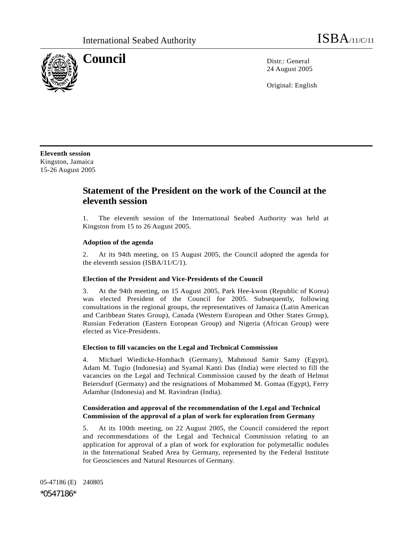

**Council** Distribution Distribution Distribution Distribution Distribution Distribution Distribution Distribution Distribution Distribution Distribution Distribution Distribution Distribution Distribution Distribution Dist 24 August 2005

Original: English

**Eleventh session**  Kingston, Jamaica 15-26 August 2005

# **Statement of the President on the work of the Council at the eleventh session**

1. The eleventh session of the International Seabed Authority was held at Kingston from 15 to 26 August 2005.

# **Adoption of the agenda**

2. At its 94th meeting, on 15 August 2005, the Council adopted the agenda for the eleventh session (ISBA/11/C/1).

## **Election of the President and Vice-Presidents of the Council**

3. At the 94th meeting, on 15 August 2005, Park Hee-kwon (Republic of Korea) was elected President of the Council for 2005. Subsequently, following consultations in the regional groups, the representatives of Jamaica (Latin American and Caribbean States Group), Canada (Western European and Other States Group), Russian Federation (Eastern European Group) and Nigeria (African Group) were elected as Vice-Presidents.

#### **Election to fill vacancies on the Legal and Technical Commission**

4. Michael Wiedicke-Hombach (Germany), Mahmoud Samir Samy (Egypt), Adam M. Tugio (Indonesia) and Syamal Kanti Das (India) were elected to fill the vacancies on the Legal and Technical Commission caused by the death of Helmut Beiersdorf (Germany) and the resignations of Mohammed M. Gomaa (Egypt), Ferry Adamhar (Indonesia) and M. Ravindran (India).

# **Consideration and approval of the recommendation of the Legal and Technical Commission of the approval of a plan of work for exploration from Germany**

5. At its 100th meeting, on 22 August 2005, the Council considered the report and recommendations of the Legal and Technical Commission relating to an application for approval of a plan of work for exploration for polymetallic nodules in the International Seabed Area by Germany, represented by the Federal Institute for Geosciences and Natural Resources of Germany.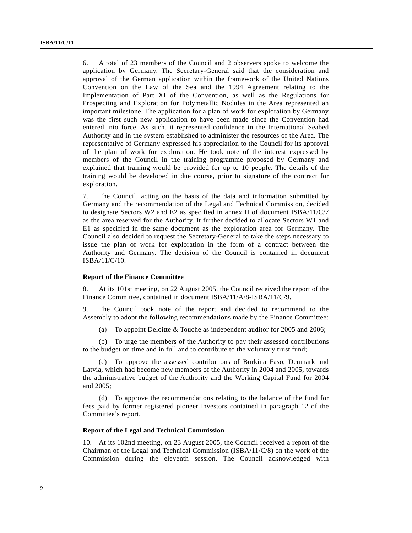6. A total of 23 members of the Council and 2 observers spoke to welcome the application by Germany. The Secretary-General said that the consideration and approval of the German application within the framework of the United Nations Convention on the Law of the Sea and the 1994 Agreement relating to the Implementation of Part XI of the Convention, as well as the Regulations for Prospecting and Exploration for Polymetallic Nodules in the Area represented an important milestone. The application for a plan of work for exploration by Germany was the first such new application to have been made since the Convention had entered into force. As such, it represented confidence in the International Seabed Authority and in the system established to administer the resources of the Area. The representative of Germany expressed his appreciation to the Council for its approval of the plan of work for exploration. He took note of the interest expressed by members of the Council in the training programme proposed by Germany and explained that training would be provided for up to 10 people. The details of the training would be developed in due course, prior to signature of the contract for exploration.

7. The Council, acting on the basis of the data and information submitted by Germany and the recommendation of the Legal and Technical Commission, decided to designate Sectors W2 and E2 as specified in annex II of document ISBA/11/C/7 as the area reserved for the Authority. It further decided to allocate Sectors W1 and E1 as specified in the same document as the exploration area for Germany. The Council also decided to request the Secretary-General to take the steps necessary to issue the plan of work for exploration in the form of a contract between the Authority and Germany. The decision of the Council is contained in document ISBA/11/C/10.

#### **Report of the Finance Committee**

8. At its 101st meeting, on 22 August 2005, the Council received the report of the Finance Committee, contained in document ISBA/11/A/8-ISBA/11/C/9.

9. The Council took note of the report and decided to recommend to the Assembly to adopt the following recommendations made by the Finance Committee:

(a) To appoint Deloitte & Touche as independent auditor for 2005 and 2006;

 (b) To urge the members of the Authority to pay their assessed contributions to the budget on time and in full and to contribute to the voluntary trust fund;

 (c) To approve the assessed contributions of Burkina Faso, Denmark and Latvia, which had become new members of the Authority in 2004 and 2005, towards the administrative budget of the Authority and the Working Capital Fund for 2004 and 2005;

 (d) To approve the recommendations relating to the balance of the fund for fees paid by former registered pioneer investors contained in paragraph 12 of the Committee's report.

## **Report of the Legal and Technical Commission**

10. At its 102nd meeting, on 23 August 2005, the Council received a report of the Chairman of the Legal and Technical Commission (ISBA/11/C/8) on the work of the Commission during the eleventh session. The Council acknowledged with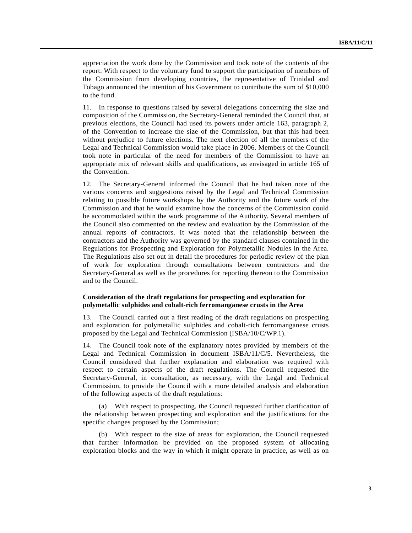appreciation the work done by the Commission and took note of the contents of the report. With respect to the voluntary fund to support the participation of members of the Commission from developing countries, the representative of Trinidad and Tobago announced the intention of his Government to contribute the sum of \$10,000 to the fund.

11. In response to questions raised by several delegations concerning the size and composition of the Commission, the Secretary-General reminded the Council that, at previous elections, the Council had used its powers under article 163, paragraph 2, of the Convention to increase the size of the Commission, but that this had been without prejudice to future elections. The next election of all the members of the Legal and Technical Commission would take place in 2006. Members of the Council took note in particular of the need for members of the Commission to have an appropriate mix of relevant skills and qualifications, as envisaged in article 165 of the Convention.

12. The Secretary-General informed the Council that he had taken note of the various concerns and suggestions raised by the Legal and Technical Commission relating to possible future workshops by the Authority and the future work of the Commission and that he would examine how the concerns of the Commission could be accommodated within the work programme of the Authority. Several members of the Council also commented on the review and evaluation by the Commission of the annual reports of contractors. It was noted that the relationship between the contractors and the Authority was governed by the standard clauses contained in the Regulations for Prospecting and Exploration for Polymetallic Nodules in the Area. The Regulations also set out in detail the procedures for periodic review of the plan of work for exploration through consultations between contractors and the Secretary-General as well as the procedures for reporting thereon to the Commission and to the Council.

## **Consideration of the draft regulations for prospecting and exploration for polymetallic sulphides and cobalt-rich ferromanganese crusts in the Area**

13. The Council carried out a first reading of the draft regulations on prospecting and exploration for polymetallic sulphides and cobalt-rich ferromanganese crusts proposed by the Legal and Technical Commission (ISBA/10/C/WP.1).

14. The Council took note of the explanatory notes provided by members of the Legal and Technical Commission in document ISBA/11/C/5. Nevertheless, the Council considered that further explanation and elaboration was required with respect to certain aspects of the draft regulations. The Council requested the Secretary-General, in consultation, as necessary, with the Legal and Technical Commission, to provide the Council with a more detailed analysis and elaboration of the following aspects of the draft regulations:

 (a) With respect to prospecting, the Council requested further clarification of the relationship between prospecting and exploration and the justifications for the specific changes proposed by the Commission;

 (b) With respect to the size of areas for exploration, the Council requested that further information be provided on the proposed system of allocating exploration blocks and the way in which it might operate in practice, as well as on